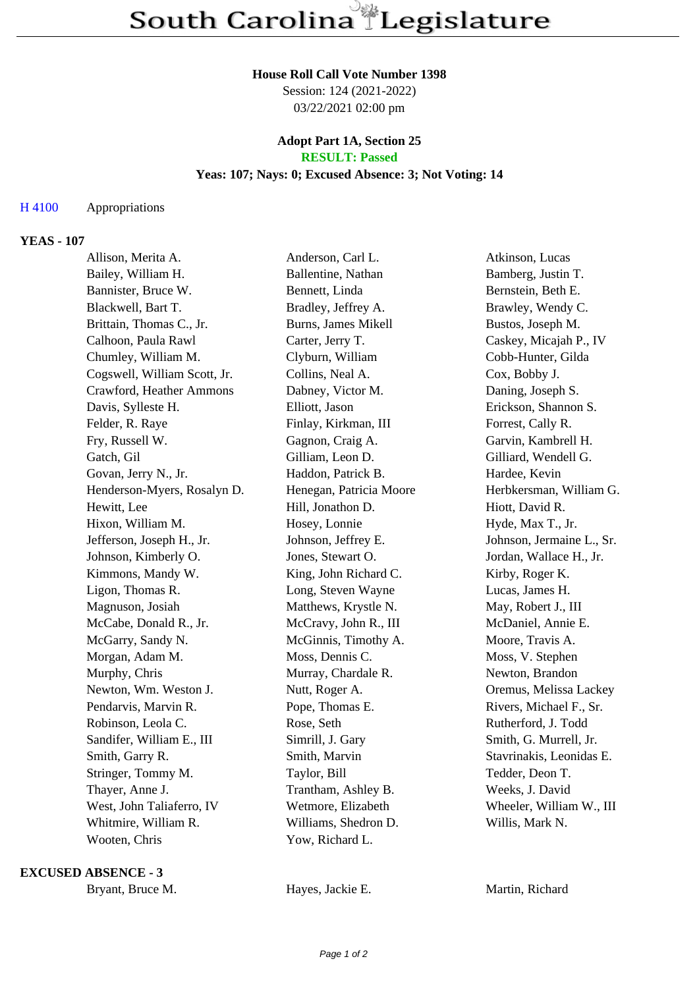#### **House Roll Call Vote Number 1398**

Session: 124 (2021-2022) 03/22/2021 02:00 pm

### **Adopt Part 1A, Section 25 RESULT: Passed**

## **Yeas: 107; Nays: 0; Excused Absence: 3; Not Voting: 14**

### H 4100 Appropriations

### **YEAS - 107**

| Allison, Merita A.           | Anderson, Carl L.          | Atkinson, Lucas           |
|------------------------------|----------------------------|---------------------------|
| Bailey, William H.           | Ballentine, Nathan         | Bamberg, Justin T.        |
| Bannister, Bruce W.          | Bennett, Linda             | Bernstein, Beth E.        |
| Blackwell, Bart T.           | Bradley, Jeffrey A.        | Brawley, Wendy C.         |
| Brittain, Thomas C., Jr.     | <b>Burns, James Mikell</b> | Bustos, Joseph M.         |
| Calhoon, Paula Rawl          | Carter, Jerry T.           | Caskey, Micajah P., IV    |
| Chumley, William M.          | Clyburn, William           | Cobb-Hunter, Gilda        |
| Cogswell, William Scott, Jr. | Collins, Neal A.           | Cox, Bobby J.             |
| Crawford, Heather Ammons     | Dabney, Victor M.          | Daning, Joseph S.         |
| Davis, Sylleste H.           | Elliott, Jason             | Erickson, Shannon S.      |
| Felder, R. Raye              | Finlay, Kirkman, III       | Forrest, Cally R.         |
| Fry, Russell W.              | Gagnon, Craig A.           | Garvin, Kambrell H.       |
| Gatch, Gil                   | Gilliam, Leon D.           | Gilliard, Wendell G.      |
| Govan, Jerry N., Jr.         | Haddon, Patrick B.         | Hardee, Kevin             |
| Henderson-Myers, Rosalyn D.  | Henegan, Patricia Moore    | Herbkersman, William G.   |
| Hewitt, Lee                  | Hill, Jonathon D.          | Hiott, David R.           |
| Hixon, William M.            | Hosey, Lonnie              | Hyde, Max T., Jr.         |
| Jefferson, Joseph H., Jr.    | Johnson, Jeffrey E.        | Johnson, Jermaine L., Sr. |
| Johnson, Kimberly O.         | Jones, Stewart O.          | Jordan, Wallace H., Jr.   |
| Kimmons, Mandy W.            | King, John Richard C.      | Kirby, Roger K.           |
| Ligon, Thomas R.             | Long, Steven Wayne         | Lucas, James H.           |
| Magnuson, Josiah             | Matthews, Krystle N.       | May, Robert J., III       |
| McCabe, Donald R., Jr.       | McCravy, John R., III      | McDaniel, Annie E.        |
| McGarry, Sandy N.            | McGinnis, Timothy A.       | Moore, Travis A.          |
| Morgan, Adam M.              | Moss, Dennis C.            | Moss, V. Stephen          |
| Murphy, Chris                | Murray, Chardale R.        | Newton, Brandon           |
| Newton, Wm. Weston J.        | Nutt, Roger A.             | Oremus, Melissa Lackey    |
| Pendarvis, Marvin R.         | Pope, Thomas E.            | Rivers, Michael F., Sr.   |
| Robinson, Leola C.           | Rose, Seth                 | Rutherford, J. Todd       |
| Sandifer, William E., III    | Simrill, J. Gary           | Smith, G. Murrell, Jr.    |
| Smith, Garry R.              | Smith, Marvin              | Stavrinakis, Leonidas E.  |
| Stringer, Tommy M.           | Taylor, Bill               | Tedder, Deon T.           |
| Thayer, Anne J.              | Trantham, Ashley B.        | Weeks, J. David           |
| West, John Taliaferro, IV    | Wetmore, Elizabeth         | Wheeler, William W., III  |
| Whitmire, William R.         | Williams, Shedron D.       | Willis, Mark N.           |
| Wooten, Chris                | Yow, Richard L.            |                           |

#### **EXCUSED ABSENCE - 3**

Bryant, Bruce M. **Hayes, Jackie E.** Martin, Richard